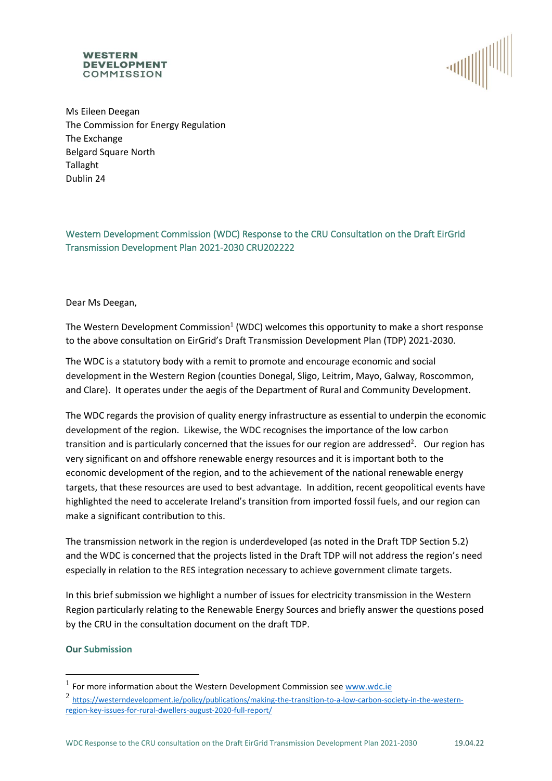#### **WESTERN DEVELOPMENT** COMMISSION



Ms Eileen Deegan The Commission for Energy Regulation The Exchange Belgard Square North Tallaght Dublin 24

# Western Development Commission (WDC) Response to the CRU Consultation on the Draft EirGrid Transmission Development Plan 2021-2030 CRU202222

# Dear Ms Deegan,

The Western Development Commission<sup>1</sup> (WDC) welcomes this opportunity to make a short response to the above consultation on EirGrid's Draft Transmission Development Plan (TDP) 2021-2030.

The WDC is a statutory body with a remit to promote and encourage economic and social development in the Western Region (counties Donegal, Sligo, Leitrim, Mayo, Galway, Roscommon, and Clare). It operates under the aegis of the Department of Rural and Community Development.

The WDC regards the provision of quality energy infrastructure as essential to underpin the economic development of the region. Likewise, the WDC recognises the importance of the low carbon transition and is particularly concerned that the issues for our region are addressed<sup>2</sup>. Our region has very significant on and offshore renewable energy resources and it is important both to the economic development of the region, and to the achievement of the national renewable energy targets, that these resources are used to best advantage. In addition, recent geopolitical events have highlighted the need to accelerate Ireland's transition from imported fossil fuels, and our region can make a significant contribution to this.

The transmission network in the region is underdeveloped (as noted in the Draft TDP Section 5.2) and the WDC is concerned that the projects listed in the Draft TDP will not address the region's need especially in relation to the RES integration necessary to achieve government climate targets.

In this brief submission we highlight a number of issues for electricity transmission in the Western Region particularly relating to the Renewable Energy Sources and briefly answer the questions posed by the CRU in the consultation document on the draft TDP.

# **Our Submission**

 $<sup>1</sup>$  For more information about the Western Development Commission see  $\frac{www.wdc.ie}{m}$ </sup>

<sup>2</sup> [https://westerndevelopment.ie/policy/publications/making-the-transition-to-a-low-carbon-society-in-the-western](https://westerndevelopment.ie/policy/publications/making-the-transition-to-a-low-carbon-society-in-the-western-region-key-issues-for-rural-dwellers-august-2020-full-report/)[region-key-issues-for-rural-dwellers-august-2020-full-report/](https://westerndevelopment.ie/policy/publications/making-the-transition-to-a-low-carbon-society-in-the-western-region-key-issues-for-rural-dwellers-august-2020-full-report/)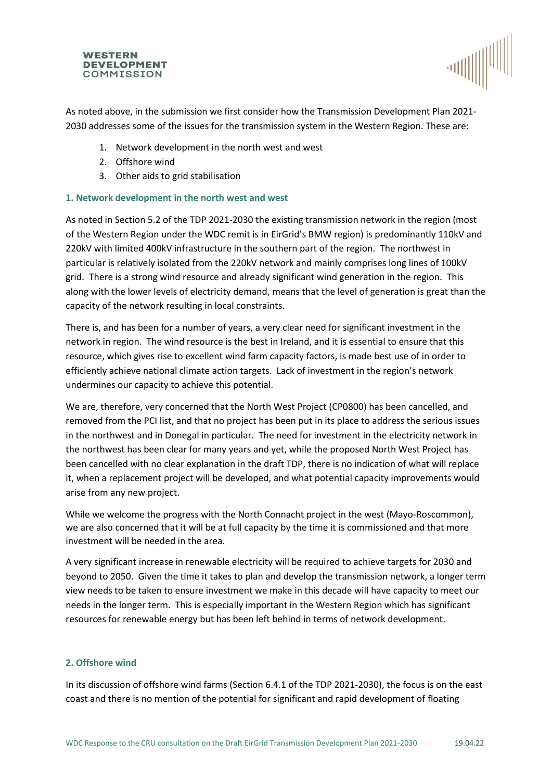#### **WESTERN DEVELOPMENT** COMMISSION



As noted above, in the submission we first consider how the Transmission Development Plan 2021- 2030 addresses some of the issues for the transmission system in the Western Region. These are:

- 1. Network development in the north west and west
- 2. Offshore wind
- 3. Other aids to grid stabilisation

# **1. Network development in the north west and west**

As noted in Section 5.2 of the TDP 2021-2030 the existing transmission network in the region (most of the Western Region under the WDC remit is in EirGrid's BMW region) is predominantly 110kV and 220kV with limited 400kV infrastructure in the southern part of the region. The northwest in particular is relatively isolated from the 220kV network and mainly comprises long lines of 100kV grid. There is a strong wind resource and already significant wind generation in the region. This along with the lower levels of electricity demand, means that the level of generation is great than the capacity of the network resulting in local constraints.

There is, and has been for a number of years, a very clear need for significant investment in the network in region. The wind resource is the best in Ireland, and it is essential to ensure that this resource, which gives rise to excellent wind farm capacity factors, is made best use of in order to efficiently achieve national climate action targets. Lack of investment in the region's network undermines our capacity to achieve this potential.

We are, therefore, very concerned that the North West Project (CP0800) has been cancelled, and removed from the PCI list, and that no project has been put in its place to address the serious issues in the northwest and in Donegal in particular. The need for investment in the electricity network in the northwest has been clear for many years and yet, while the proposed North West Project has been cancelled with no clear explanation in the draft TDP, there is no indication of what will replace it, when a replacement project will be developed, and what potential capacity improvements would arise from any new project.

While we welcome the progress with the North Connacht project in the west (Mayo-Roscommon), we are also concerned that it will be at full capacity by the time it is commissioned and that more investment will be needed in the area.

A very significant increase in renewable electricity will be required to achieve targets for 2030 and beyond to 2050. Given the time it takes to plan and develop the transmission network, a longer term view needs to be taken to ensure investment we make in this decade will have capacity to meet our needs in the longer term. This is especially important in the Western Region which has significant resources for renewable energy but has been left behind in terms of network development.

# **2. Offshore wind**

In its discussion of offshore wind farms (Section 6.4.1 of the TDP 2021-2030), the focus is on the east coast and there is no mention of the potential for significant and rapid development of floating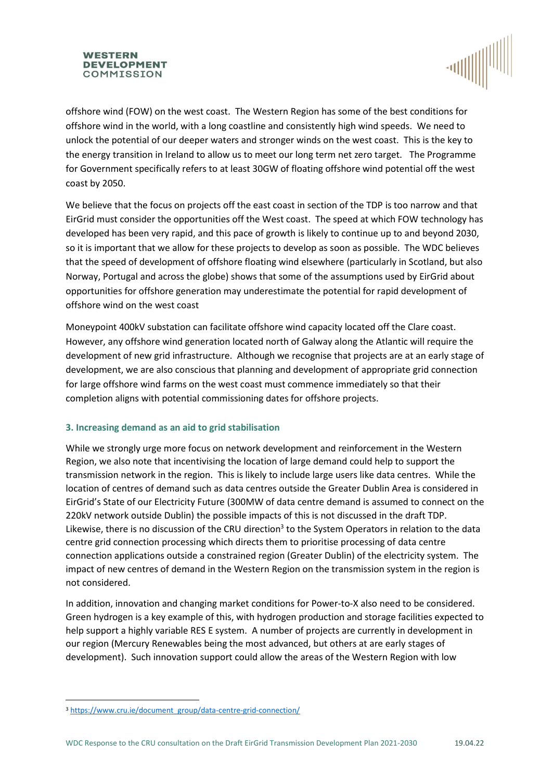#### **WESTERN DEVELOPMENT** COMMISSION



offshore wind (FOW) on the west coast. The Western Region has some of the best conditions for offshore wind in the world, with a long coastline and consistently high wind speeds. We need to unlock the potential of our deeper waters and stronger winds on the west coast. This is the key to the energy transition in Ireland to allow us to meet our long term net zero target. The Programme for Government specifically refers to at least 30GW of floating offshore wind potential off the west coast by 2050.

We believe that the focus on projects off the east coast in section of the TDP is too narrow and that EirGrid must consider the opportunities off the West coast. The speed at which FOW technology has developed has been very rapid, and this pace of growth is likely to continue up to and beyond 2030, so it is important that we allow for these projects to develop as soon as possible. The WDC believes that the speed of development of offshore floating wind elsewhere (particularly in Scotland, but also Norway, Portugal and across the globe) shows that some of the assumptions used by EirGrid about opportunities for offshore generation may underestimate the potential for rapid development of offshore wind on the west coast

Moneypoint 400kV substation can facilitate offshore wind capacity located off the Clare coast. However, any offshore wind generation located north of Galway along the Atlantic will require the development of new grid infrastructure. Although we recognise that projects are at an early stage of development, we are also conscious that planning and development of appropriate grid connection for large offshore wind farms on the west coast must commence immediately so that their completion aligns with potential commissioning dates for offshore projects.

# **3. Increasing demand as an aid to grid stabilisation**

While we strongly urge more focus on network development and reinforcement in the Western Region, we also note that incentivising the location of large demand could help to support the transmission network in the region. This is likely to include large users like data centres. While the location of centres of demand such as data centres outside the Greater Dublin Area is considered in EirGrid's State of our Electricity Future (300MW of data centre demand is assumed to connect on the 220kV network outside Dublin) the possible impacts of this is not discussed in the draft TDP. Likewise, there is no discussion of the CRU direction<sup>3</sup> to the System Operators in relation to the data centre grid connection processing which directs them to prioritise processing of data centre connection applications outside a constrained region (Greater Dublin) of the electricity system. The impact of new centres of demand in the Western Region on the transmission system in the region is not considered.

In addition, innovation and changing market conditions for Power-to-X also need to be considered. Green hydrogen is a key example of this, with hydrogen production and storage facilities expected to help support a highly variable RES E system. A number of projects are currently in development in our region (Mercury Renewables being the most advanced, but others at are early stages of development). Such innovation support could allow the areas of the Western Region with low

<sup>&</sup>lt;sup>3</sup> [https://www.cru.ie/document\\_group/data-centre-grid-connection/](https://www.cru.ie/document_group/data-centre-grid-connection/)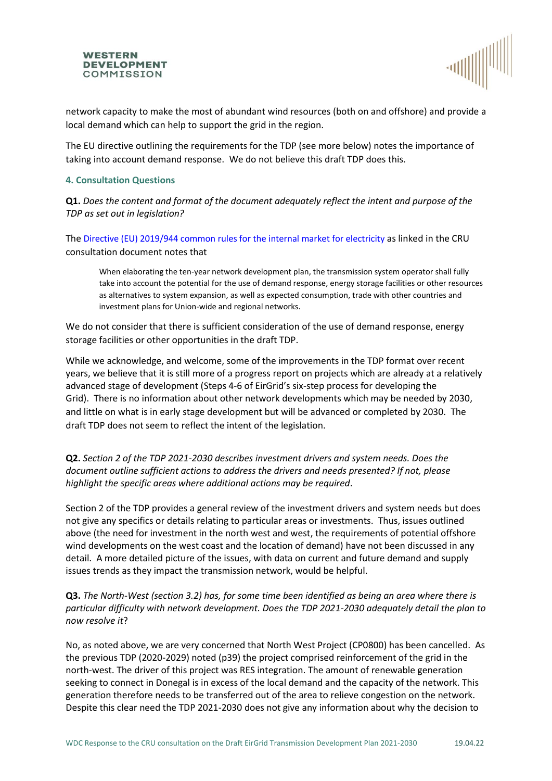



network capacity to make the most of abundant wind resources (both on and offshore) and provide a local demand which can help to support the grid in the region.

The EU directive outlining the requirements for the TDP (see more below) notes the importance of taking into account demand response. We do not believe this draft TDP does this.

### **4. Consultation Questions**

**Q1.** *Does the content and format of the document adequately reflect the intent and purpose of the TDP as set out in legislation?*

The Directive (EU) 2019/944 common rules for the internal market for electricity as linked in the CRU consultation document notes that

When elaborating the ten-year network development plan, the transmission system operator shall fully take into account the potential for the use of demand response, energy storage facilities or other resources as alternatives to system expansion, as well as expected consumption, trade with other countries and investment plans for Union-wide and regional networks.

We do not consider that there is sufficient consideration of the use of demand response, energy storage facilities or other opportunities in the draft TDP.

While we acknowledge, and welcome, some of the improvements in the TDP format over recent years, we believe that it is still more of a progress report on projects which are already at a relatively advanced stage of development (Steps 4-6 of EirGrid's six-step process for developing the Grid). There is no information about other network developments which may be needed by 2030, and little on what is in early stage development but will be advanced or completed by 2030. The draft TDP does not seem to reflect the intent of the legislation.

**Q2.** *Section 2 of the TDP 2021-2030 describes investment drivers and system needs. Does the document outline sufficient actions to address the drivers and needs presented? If not, please highlight the specific areas where additional actions may be required*.

Section 2 of the TDP provides a general review of the investment drivers and system needs but does not give any specifics or details relating to particular areas or investments. Thus, issues outlined above (the need for investment in the north west and west, the requirements of potential offshore wind developments on the west coast and the location of demand) have not been discussed in any detail. A more detailed picture of the issues, with data on current and future demand and supply issues trends as they impact the transmission network, would be helpful.

**Q3.** *The North-West (section 3.2) has, for some time been identified as being an area where there is particular difficulty with network development. Does the TDP 2021-2030 adequately detail the plan to now resolve it*?

No, as noted above, we are very concerned that North West Project (CP0800) has been cancelled. As the previous TDP (2020-2029) noted (p39) the project comprised reinforcement of the grid in the north-west. The driver of this project was RES integration. The amount of renewable generation seeking to connect in Donegal is in excess of the local demand and the capacity of the network. This generation therefore needs to be transferred out of the area to relieve congestion on the network. Despite this clear need the TDP 2021-2030 does not give any information about why the decision to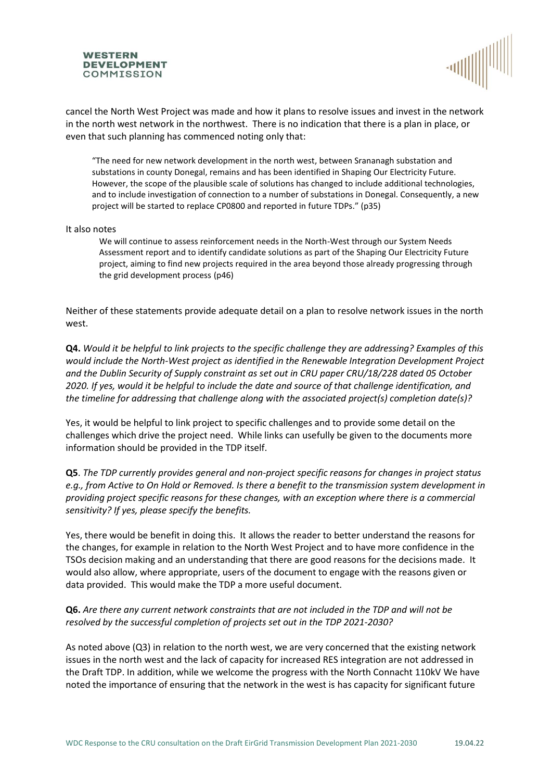



cancel the North West Project was made and how it plans to resolve issues and invest in the network in the north west network in the northwest. There is no indication that there is a plan in place, or even that such planning has commenced noting only that:

"The need for new network development in the north west, between Srananagh substation and substations in county Donegal, remains and has been identified in Shaping Our Electricity Future. However, the scope of the plausible scale of solutions has changed to include additional technologies, and to include investigation of connection to a number of substations in Donegal. Consequently, a new project will be started to replace CP0800 and reported in future TDPs." (p35)

#### It also notes

We will continue to assess reinforcement needs in the North-West through our System Needs Assessment report and to identify candidate solutions as part of the Shaping Our Electricity Future project, aiming to find new projects required in the area beyond those already progressing through the grid development process (p46)

Neither of these statements provide adequate detail on a plan to resolve network issues in the north west.

**Q4.** *Would it be helpful to link projects to the specific challenge they are addressing? Examples of this would include the North-West project as identified in the Renewable Integration Development Project and the Dublin Security of Supply constraint as set out in CRU paper CRU/18/228 dated 05 October 2020. If yes, would it be helpful to include the date and source of that challenge identification, and the timeline for addressing that challenge along with the associated project(s) completion date(s)?*

Yes, it would be helpful to link project to specific challenges and to provide some detail on the challenges which drive the project need. While links can usefully be given to the documents more information should be provided in the TDP itself.

**Q5**. *The TDP currently provides general and non-project specific reasons for changes in project status e.g., from Active to On Hold or Removed. Is there a benefit to the transmission system development in providing project specific reasons for these changes, with an exception where there is a commercial sensitivity? If yes, please specify the benefits.* 

Yes, there would be benefit in doing this. It allows the reader to better understand the reasons for the changes, for example in relation to the North West Project and to have more confidence in the TSOs decision making and an understanding that there are good reasons for the decisions made. It would also allow, where appropriate, users of the document to engage with the reasons given or data provided. This would make the TDP a more useful document.

# **Q6.** *Are there any current network constraints that are not included in the TDP and will not be resolved by the successful completion of projects set out in the TDP 2021-2030?*

As noted above (Q3) in relation to the north west, we are very concerned that the existing network issues in the north west and the lack of capacity for increased RES integration are not addressed in the Draft TDP. In addition, while we welcome the progress with the North Connacht 110kV We have noted the importance of ensuring that the network in the west is has capacity for significant future